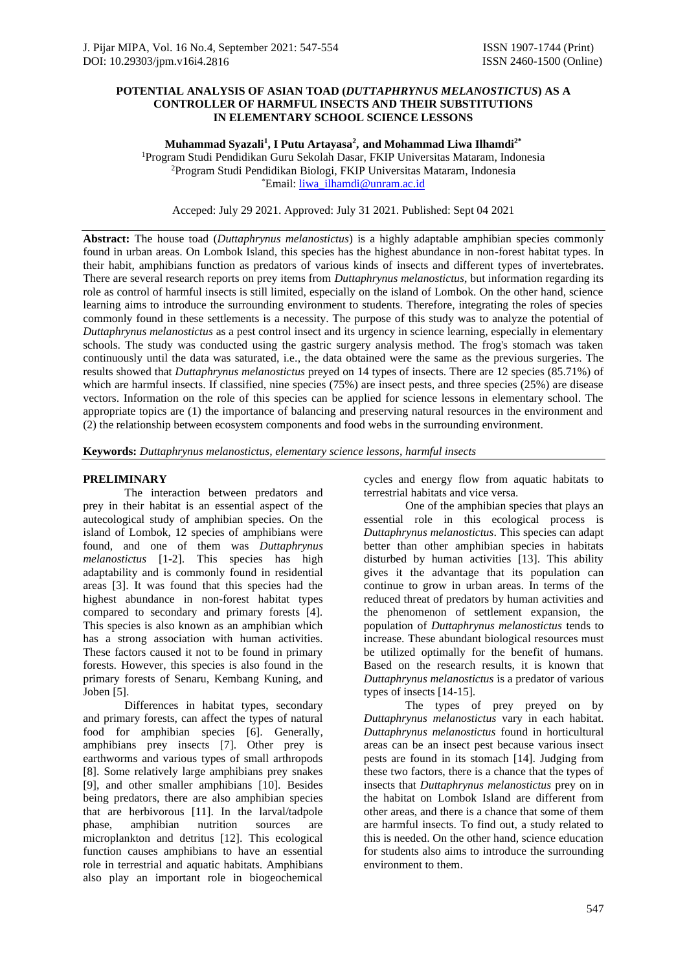### **POTENTIAL ANALYSIS OF ASIAN TOAD (***DUTTAPHRYNUS MELANOSTICTUS***) AS A CONTROLLER OF HARMFUL INSECTS AND THEIR SUBSTITUTIONS IN ELEMENTARY SCHOOL SCIENCE LESSONS**

**Muhammad Syazali<sup>1</sup> , I Putu Artayasa<sup>2</sup> , and Mohammad Liwa Ilhamdi2\***

<sup>1</sup>Program Studi Pendidikan Guru Sekolah Dasar, FKIP Universitas Mataram, Indonesia <sup>2</sup>Program Studi Pendidikan Biologi, FKIP Universitas Mataram, Indonesia \*Email: [liwa\\_ilhamdi@unram.ac.id](mailto:liwa_ilhamdi@unram.ac.id)

Acceped: July 29 2021. Approved: July 31 2021. Published: Sept 04 2021

**Abstract:** The house toad (*Duttaphrynus melanostictus*) is a highly adaptable amphibian species commonly found in urban areas. On Lombok Island, this species has the highest abundance in non-forest habitat types. In their habit, amphibians function as predators of various kinds of insects and different types of invertebrates. There are several research reports on prey items from *Duttaphrynus melanostictus*, but information regarding its role as control of harmful insects is still limited, especially on the island of Lombok. On the other hand, science learning aims to introduce the surrounding environment to students. Therefore, integrating the roles of species commonly found in these settlements is a necessity. The purpose of this study was to analyze the potential of *Duttaphrynus melanostictus* as a pest control insect and its urgency in science learning, especially in elementary schools. The study was conducted using the gastric surgery analysis method. The frog's stomach was taken continuously until the data was saturated, i.e., the data obtained were the same as the previous surgeries. The results showed that *Duttaphrynus melanostictus* preyed on 14 types of insects. There are 12 species (85.71%) of which are harmful insects. If classified, nine species (75%) are insect pests, and three species (25%) are disease vectors. Information on the role of this species can be applied for science lessons in elementary school. The appropriate topics are (1) the importance of balancing and preserving natural resources in the environment and (2) the relationship between ecosystem components and food webs in the surrounding environment.

**Keywords:** *Duttaphrynus melanostictus, elementary science lessons, harmful insects*

### **PRELIMINARY**

The interaction between predators and prey in their habitat is an essential aspect of the autecological study of amphibian species. On the island of Lombok, 12 species of amphibians were found, and one of them was *Duttaphrynus melanostictus* [1-2]. This species has high adaptability and is commonly found in residential areas [3]. It was found that this species had the highest abundance in non-forest habitat types compared to secondary and primary forests [4]. This species is also known as an amphibian which has a strong association with human activities. These factors caused it not to be found in primary forests. However, this species is also found in the primary forests of Senaru, Kembang Kuning, and Joben [5].

Differences in habitat types, secondary and primary forests, can affect the types of natural food for amphibian species [6]. Generally, amphibians prey insects [7]. Other prey is earthworms and various types of small arthropods [8]. Some relatively large amphibians prey snakes [9], and other smaller amphibians [10]. Besides being predators, there are also amphibian species that are herbivorous [11]. In the larval/tadpole phase, amphibian nutrition sources are microplankton and detritus [12]. This ecological function causes amphibians to have an essential role in terrestrial and aquatic habitats. Amphibians also play an important role in biogeochemical cycles and energy flow from aquatic habitats to terrestrial habitats and vice versa.

One of the amphibian species that plays an essential role in this ecological process is *Duttaphrynus melanostictus*. This species can adapt better than other amphibian species in habitats disturbed by human activities [13]. This ability gives it the advantage that its population can continue to grow in urban areas. In terms of the reduced threat of predators by human activities and the phenomenon of settlement expansion, the population of *Duttaphrynus melanostictus* tends to increase. These abundant biological resources must be utilized optimally for the benefit of humans. Based on the research results, it is known that *Duttaphrynus melanostictus* is a predator of various types of insects [14-15].

The types of prey preyed on by *Duttaphrynus melanostictus* vary in each habitat. *Duttaphrynus melanostictus* found in horticultural areas can be an insect pest because various insect pests are found in its stomach [14]. Judging from these two factors, there is a chance that the types of insects that *Duttaphrynus melanostictus* prey on in the habitat on Lombok Island are different from other areas, and there is a chance that some of them are harmful insects. To find out, a study related to this is needed. On the other hand, science education for students also aims to introduce the surrounding environment to them.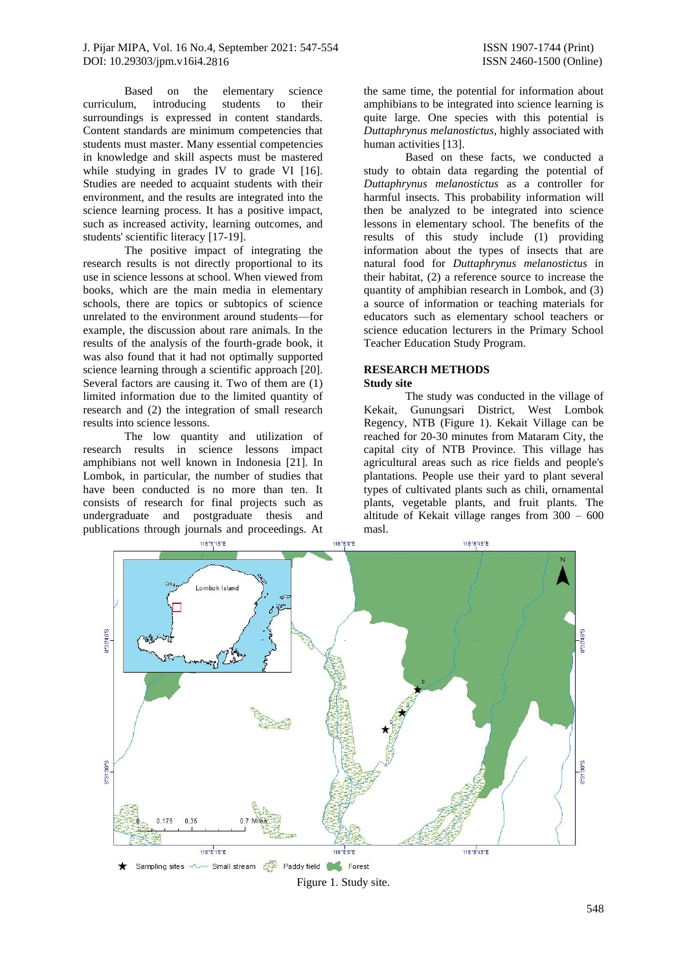Based on the elementary science curriculum, introducing students to their surroundings is expressed in content standards. Content standards are minimum competencies that students must master. Many essential competencies in knowledge and skill aspects must be mastered while studying in grades IV to grade VI [16]. Studies are needed to acquaint students with their environment, and the results are integrated into the science learning process. It has a positive impact, such as increased activity, learning outcomes, and students' scientific literacy [17-19].

The positive impact of integrating the research results is not directly proportional to its use in science lessons at school. When viewed from books, which are the main media in elementary schools, there are topics or subtopics of science unrelated to the environment around students—for example, the discussion about rare animals. In the results of the analysis of the fourth-grade book, it was also found that it had not optimally supported science learning through a scientific approach [20]. Several factors are causing it. Two of them are (1) limited information due to the limited quantity of research and (2) the integration of small research results into science lessons.

The low quantity and utilization of research results in science lessons impact amphibians not well known in Indonesia [21]. In Lombok, in particular, the number of studies that have been conducted is no more than ten. It consists of research for final projects such as undergraduate and postgraduate thesis and publications through journals and proceedings. At

the same time, the potential for information about amphibians to be integrated into science learning is quite large. One species with this potential is *Duttaphrynus melanostictus*, highly associated with human activities [13].

Based on these facts, we conducted a study to obtain data regarding the potential of *Duttaphrynus melanostictus* as a controller for harmful insects. This probability information will then be analyzed to be integrated into science lessons in elementary school. The benefits of the results of this study include (1) providing information about the types of insects that are natural food for *Duttaphrynus melanostictus* in their habitat, (2) a reference source to increase the quantity of amphibian research in Lombok, and (3) a source of information or teaching materials for educators such as elementary school teachers or science education lecturers in the Primary School Teacher Education Study Program.

# **RESEARCH METHODS**

#### **Study site**

The study was conducted in the village of Kekait, Gunungsari District, West Lombok Regency, NTB (Figure 1). Kekait Village can be reached for 20-30 minutes from Mataram City, the capital city of NTB Province. This village has agricultural areas such as rice fields and people's plantations. People use their yard to plant several types of cultivated plants such as chili, ornamental plants, vegetable plants, and fruit plants. The altitude of Kekait village ranges from 300 – 600 masl.



Figure 1. Study site.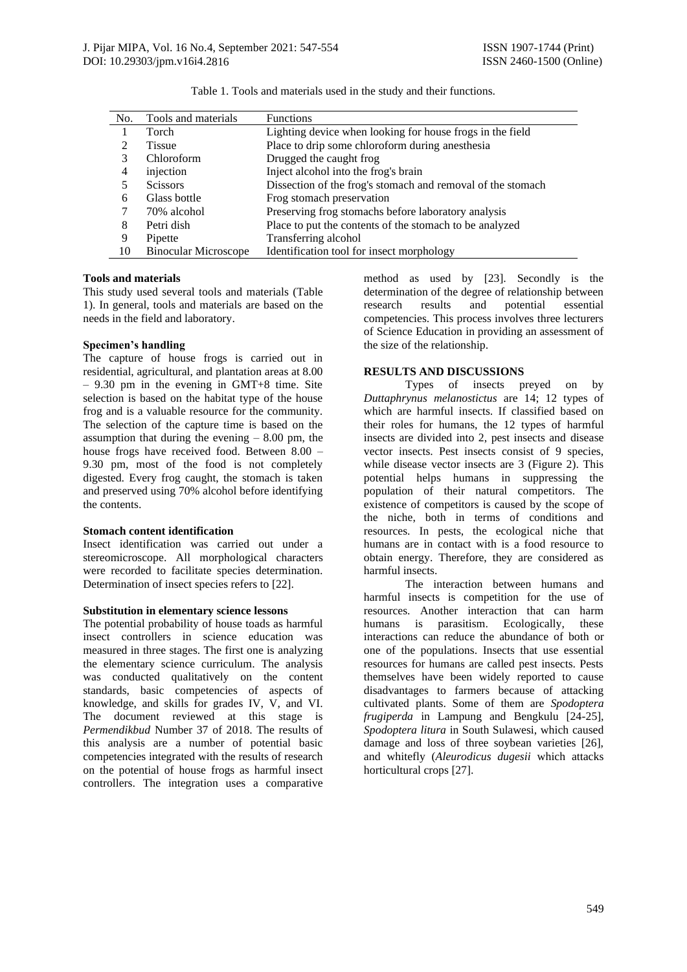| No. | Tools and materials         | <b>Functions</b>                                            |
|-----|-----------------------------|-------------------------------------------------------------|
|     | Torch                       | Lighting device when looking for house frogs in the field   |
|     | <b>Tissue</b>               | Place to drip some chloroform during anesthesia             |
| 3   | Chloroform                  | Drugged the caught frog                                     |
| 4   | injection                   | Inject alcohol into the frog's brain                        |
|     | <b>Scissors</b>             | Dissection of the frog's stomach and removal of the stomach |
| 6   | Glass bottle                | Frog stomach preservation                                   |
|     | 70% alcohol                 | Preserving frog stomachs before laboratory analysis         |
| 8   | Petri dish                  | Place to put the contents of the stomach to be analyzed     |
| 9   | Pipette                     | Transferring alcohol                                        |
| 10  | <b>Binocular Microscope</b> | Identification tool for insect morphology                   |

Table 1. Tools and materials used in the study and their functions.

#### **Tools and materials**

This study used several tools and materials (Table 1). In general, tools and materials are based on the needs in the field and laboratory.

#### **Specimen's handling**

The capture of house frogs is carried out in residential, agricultural, and plantation areas at 8.00 – 9.30 pm in the evening in GMT+8 time. Site selection is based on the habitat type of the house frog and is a valuable resource for the community. The selection of the capture time is based on the assumption that during the evening  $-8.00$  pm, the house frogs have received food. Between 8.00 – 9.30 pm, most of the food is not completely digested. Every frog caught, the stomach is taken and preserved using 70% alcohol before identifying the contents.

#### **Stomach content identification**

Insect identification was carried out under a stereomicroscope. All morphological characters were recorded to facilitate species determination. Determination of insect species refers to [22].

#### **Substitution in elementary science lessons**

The potential probability of house toads as harmful insect controllers in science education was measured in three stages. The first one is analyzing the elementary science curriculum. The analysis was conducted qualitatively on the content standards, basic competencies of aspects of knowledge, and skills for grades IV, V, and VI. The document reviewed at this stage is *Permendikbud* Number 37 of 2018. The results of this analysis are a number of potential basic competencies integrated with the results of research on the potential of house frogs as harmful insect controllers. The integration uses a comparative method as used by [23]. Secondly is the determination of the degree of relationship between research results and potential essential competencies. This process involves three lecturers of Science Education in providing an assessment of the size of the relationship.

### **RESULTS AND DISCUSSIONS**

Types of insects preyed on by *Duttaphrynus melanostictus* are 14; 12 types of which are harmful insects. If classified based on their roles for humans, the 12 types of harmful insects are divided into 2, pest insects and disease vector insects. Pest insects consist of 9 species, while disease vector insects are 3 (Figure 2). This potential helps humans in suppressing the population of their natural competitors. The existence of competitors is caused by the scope of the niche, both in terms of conditions and resources. In pests, the ecological niche that humans are in contact with is a food resource to obtain energy. Therefore, they are considered as harmful insects.

The interaction between humans and harmful insects is competition for the use of resources. Another interaction that can harm humans is parasitism. Ecologically, these interactions can reduce the abundance of both or one of the populations. Insects that use essential resources for humans are called pest insects. Pests themselves have been widely reported to cause disadvantages to farmers because of attacking cultivated plants. Some of them are *Spodoptera frugiperda* in Lampung and Bengkulu [24-25], *Spodoptera litura* in South Sulawesi, which caused damage and loss of three soybean varieties [26], and whitefly (*Aleurodicus dugesii* which attacks horticultural crops [27].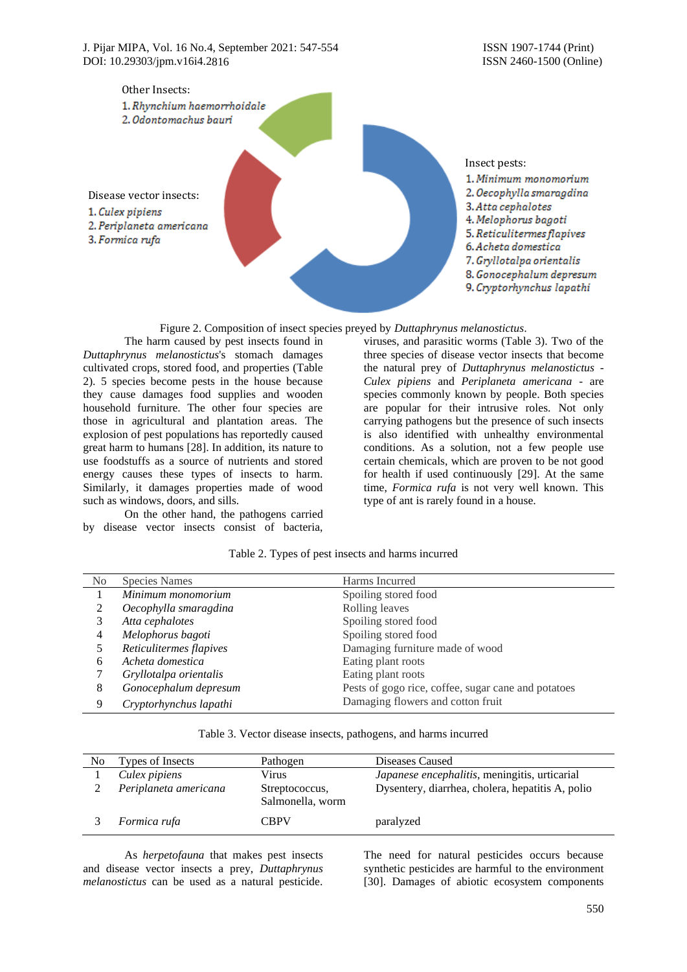

Figure 2. Composition of insect species preyed by *Duttaphrynus melanostictus*.

The harm caused by pest insects found in *Duttaphrynus melanostictus*'s stomach damages cultivated crops, stored food, and properties (Table 2). 5 species become pests in the house because they cause damages food supplies and wooden household furniture. The other four species are those in agricultural and plantation areas. The explosion of pest populations has reportedly caused great harm to humans [28]. In addition, its nature to use foodstuffs as a source of nutrients and stored energy causes these types of insects to harm. Similarly, it damages properties made of wood such as windows, doors, and sills.

On the other hand, the pathogens carried by disease vector insects consist of bacteria,

viruses, and parasitic worms (Table 3). Two of the three species of disease vector insects that become the natural prey of *Duttaphrynus melanostictus* - *Culex pipiens* and *Periplaneta americana* - are species commonly known by people. Both species are popular for their intrusive roles. Not only carrying pathogens but the presence of such insects is also identified with unhealthy environmental conditions. As a solution, not a few people use certain chemicals, which are proven to be not good for health if used continuously [29]. At the same time, *Formica rufa* is not very well known. This type of ant is rarely found in a house.

| N <sub>0</sub> | <b>Species Names</b>    | Harms Incurred                                      |
|----------------|-------------------------|-----------------------------------------------------|
|                | Minimum monomorium      | Spoiling stored food                                |
|                | Oecophylla smaragdina   | Rolling leaves                                      |
|                | Atta cephalotes         | Spoiling stored food                                |
| 4              | Melophorus bagoti       | Spoiling stored food                                |
|                | Reticulitermes flapives | Damaging furniture made of wood                     |
| 6              | Acheta domestica        | Eating plant roots                                  |
|                | Gryllotalpa orientalis  | Eating plant roots                                  |
| 8              | Gonocephalum depresum   | Pests of gogo rice, coffee, sugar cane and potatoes |
| 9              | Cryptorhynchus lapathi  | Damaging flowers and cotton fruit                   |

### Table 2. Types of pest insects and harms incurred

|  |  |  |  | Table 3. Vector disease insects, pathogens, and harms incurred |  |  |  |
|--|--|--|--|----------------------------------------------------------------|--|--|--|
|--|--|--|--|----------------------------------------------------------------|--|--|--|

| N <sub>0</sub> | Types of Insects      | Pathogen                           | Diseases Caused                                  |
|----------------|-----------------------|------------------------------------|--------------------------------------------------|
|                | Culex pipiens         | Virus                              | Japanese encephalitis, meningitis, urticarial    |
|                | Periplaneta americana | Streptococcus,<br>Salmonella, worm | Dysentery, diarrhea, cholera, hepatitis A, polio |
|                | Formica rufa          | <b>CBPV</b>                        | paralyzed                                        |

As *herpetofauna* that makes pest insects and disease vector insects a prey, *Duttaphrynus melanostictus* can be used as a natural pesticide.

The need for natural pesticides occurs because synthetic pesticides are harmful to the environment [30]. Damages of abiotic ecosystem components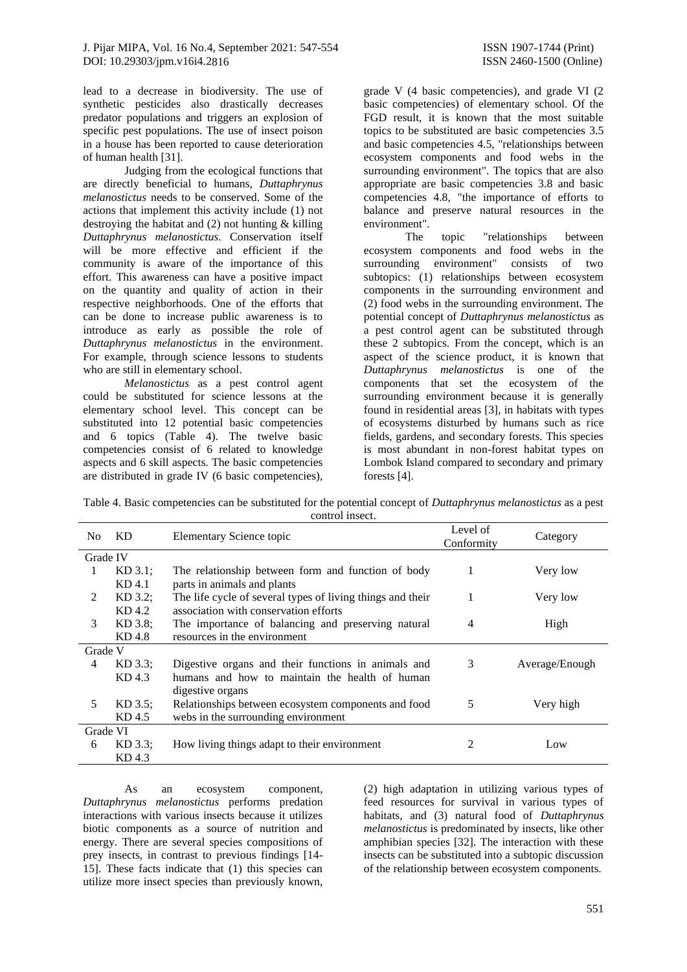lead to a decrease in biodiversity. The use of synthetic pesticides also drastically decreases predator populations and triggers an explosion of specific pest populations. The use of insect poison in a house has been reported to cause deterioration of human health [31].

Judging from the ecological functions that are directly beneficial to humans, *Duttaphrynus melanostictus* needs to be conserved. Some of the actions that implement this activity include (1) not destroying the habitat and (2) not hunting & killing *Duttaphrynus melanostictus*. Conservation itself will be more effective and efficient if the community is aware of the importance of this effort. This awareness can have a positive impact on the quantity and quality of action in their respective neighborhoods. One of the efforts that can be done to increase public awareness is to introduce as early as possible the role of *Duttaphrynus melanostictus* in the environment. For example, through science lessons to students who are still in elementary school.

*Melanostictus* as a pest control agent could be substituted for science lessons at the elementary school level. This concept can be substituted into 12 potential basic competencies and 6 topics (Table 4). The twelve basic competencies consist of 6 related to knowledge aspects and 6 skill aspects. The basic competencies are distributed in grade IV (6 basic competencies), grade V (4 basic competencies), and grade VI (2 basic competencies) of elementary school. Of the FGD result, it is known that the most suitable topics to be substituted are basic competencies 3.5 and basic competencies 4.5, "relationships between ecosystem components and food webs in the surrounding environment". The topics that are also appropriate are basic competencies 3.8 and basic competencies 4.8, "the importance of efforts to balance and preserve natural resources in the environment".

The topic "relationships between ecosystem components and food webs in the surrounding environment" consists of two subtopics: (1) relationships between ecosystem components in the surrounding environment and (2) food webs in the surrounding environment. The potential concept of *Duttaphrynus melanostictus* as a pest control agent can be substituted through these 2 subtopics. From the concept, which is an aspect of the science product, it is known that *Duttaphrynus melanostictus* is one of the components that set the ecosystem of the surrounding environment because it is generally found in residential areas [3], in habitats with types of ecosystems disturbed by humans such as rice fields, gardens, and secondary forests. This species is most abundant in non-forest habitat types on Lombok Island compared to secondary and primary forests [4].

| Table 4. Basic competencies can be substituted for the potential concept of Duttaphrynus melanostictus as a pest |
|------------------------------------------------------------------------------------------------------------------|
| control insect.                                                                                                  |

| N <sub>0</sub> | KD.       | Elementary Science topic                                   | Level of<br>Conformity | Category       |
|----------------|-----------|------------------------------------------------------------|------------------------|----------------|
| Grade IV       |           |                                                            |                        |                |
|                | $KD$ 3.1; | The relationship between form and function of body         | 1                      | Very low       |
|                | KD 4.1    | parts in animals and plants                                |                        |                |
| $\mathcal{L}$  | KD 3.2;   | The life cycle of several types of living things and their | 1                      | Very low       |
|                | KD 4.2    | association with conservation efforts                      |                        |                |
| $\mathcal{E}$  | KD 3.8;   | The importance of balancing and preserving natural         | 4                      | High           |
|                | KD 4.8    | resources in the environment                               |                        |                |
| Grade V        |           |                                                            |                        |                |
| 4              | $KD$ 3.3: | Digestive organs and their functions in animals and        | 3                      | Average/Enough |
|                | KD 4.3    | humans and how to maintain the health of human             |                        |                |
|                |           | digestive organs                                           |                        |                |
| 5              | $KD$ 3.5; | Relationships between ecosystem components and food        | 5                      | Very high      |
|                | KD 4.5    | webs in the surrounding environment                        |                        |                |
| Grade VI       |           |                                                            |                        |                |
| 6              | $KD$ 3.3; | How living things adapt to their environment               | 2                      | Low            |
|                | KD 4.3    |                                                            |                        |                |

As an ecosystem component, *Duttaphrynus melanostictus* performs predation interactions with various insects because it utilizes biotic components as a source of nutrition and energy. There are several species compositions of prey insects, in contrast to previous findings [14- 15]. These facts indicate that (1) this species can utilize more insect species than previously known,

(2) high adaptation in utilizing various types of feed resources for survival in various types of habitats, and (3) natural food of *Duttaphrynus melanostictus* is predominated by insects, like other amphibian species [32]. The interaction with these insects can be substituted into a subtopic discussion of the relationship between ecosystem components.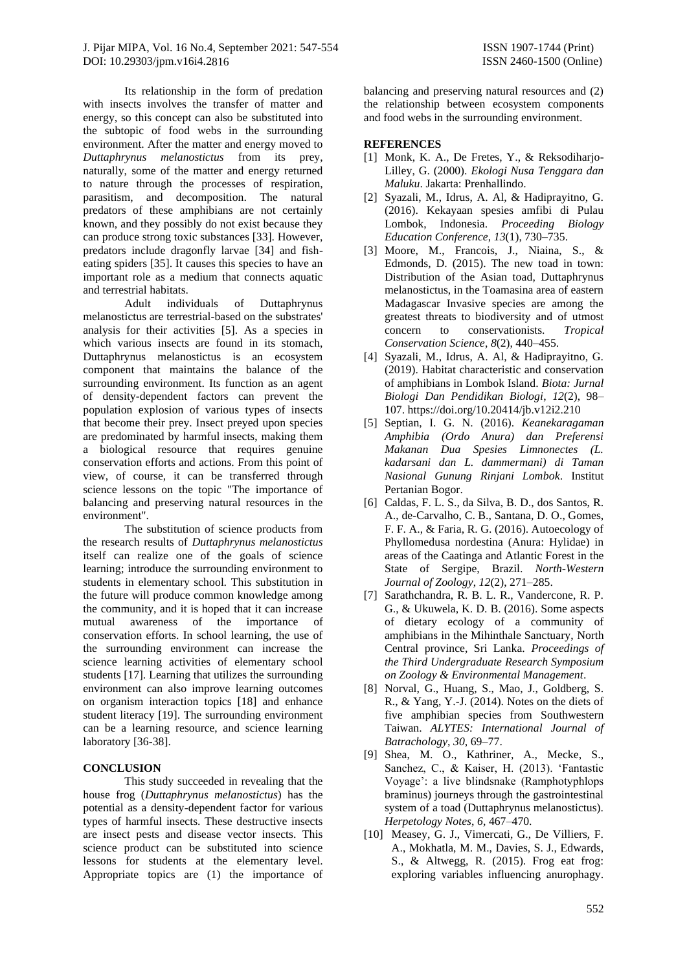Its relationship in the form of predation with insects involves the transfer of matter and energy, so this concept can also be substituted into the subtopic of food webs in the surrounding environment. After the matter and energy moved to *Duttaphrynus melanostictus* from its prey, naturally, some of the matter and energy returned to nature through the processes of respiration, parasitism, and decomposition. The natural predators of these amphibians are not certainly known, and they possibly do not exist because they can produce strong toxic substances [33]. However, predators include dragonfly larvae [34] and fisheating spiders [35]. It causes this species to have an important role as a medium that connects aquatic and terrestrial habitats.

Adult individuals of Duttaphrynus melanostictus are terrestrial-based on the substrates' analysis for their activities [5]. As a species in which various insects are found in its stomach, Duttaphrynus melanostictus is an ecosystem component that maintains the balance of the surrounding environment. Its function as an agent of density-dependent factors can prevent the population explosion of various types of insects that become their prey. Insect preyed upon species are predominated by harmful insects, making them a biological resource that requires genuine conservation efforts and actions. From this point of view, of course, it can be transferred through science lessons on the topic "The importance of balancing and preserving natural resources in the environment".

The substitution of science products from the research results of *Duttaphrynus melanostictus* itself can realize one of the goals of science learning; introduce the surrounding environment to students in elementary school. This substitution in the future will produce common knowledge among the community, and it is hoped that it can increase mutual awareness of the importance of conservation efforts. In school learning, the use of the surrounding environment can increase the science learning activities of elementary school students [17]. Learning that utilizes the surrounding environment can also improve learning outcomes on organism interaction topics [18] and enhance student literacy [19]. The surrounding environment can be a learning resource, and science learning laboratory [36-38].

### **CONCLUSION**

This study succeeded in revealing that the house frog (*Duttaphrynus melanostictus*) has the potential as a density-dependent factor for various types of harmful insects. These destructive insects are insect pests and disease vector insects. This science product can be substituted into science lessons for students at the elementary level. Appropriate topics are (1) the importance of balancing and preserving natural resources and (2) the relationship between ecosystem components and food webs in the surrounding environment.

## **REFERENCES**

- [1] Monk, K. A., De Fretes, Y., & Reksodiharjo-Lilley, G. (2000). *Ekologi Nusa Tenggara dan Maluku*. Jakarta: Prenhallindo.
- [2] Syazali, M., Idrus, A. Al, & Hadiprayitno, G. (2016). Kekayaan spesies amfibi di Pulau Lombok, Indonesia. *Proceeding Biology Education Conference*, *13*(1), 730–735.
- [3] Moore, M., Francois, J., Niaina, S., & Edmonds, D. (2015). The new toad in town: Distribution of the Asian toad, Duttaphrynus melanostictus, in the Toamasina area of eastern Madagascar Invasive species are among the greatest threats to biodiversity and of utmost concern to conservationists. *Tropical Conservation Science*, *8*(2), 440–455.
- [4] Syazali, M., Idrus, A. Al, & Hadiprayitno, G. (2019). Habitat characteristic and conservation of amphibians in Lombok Island. *Biota: Jurnal Biologi Dan Pendidikan Biologi*, *12*(2), 98– 107. https://doi.org/10.20414/jb.v12i2.210
- [5] Septian, I. G. N. (2016). *Keanekaragaman Amphibia (Ordo Anura) dan Preferensi Makanan Dua Spesies Limnonectes (L. kadarsani dan L. dammermani) di Taman Nasional Gunung Rinjani Lombok*. Institut Pertanian Bogor.
- [6] Caldas, F. L. S., da Silva, B. D., dos Santos, R. A., de-Carvalho, C. B., Santana, D. O., Gomes, F. F. A., & Faria, R. G. (2016). Autoecology of Phyllomedusa nordestina (Anura: Hylidae) in areas of the Caatinga and Atlantic Forest in the State of Sergipe, Brazil. *North-Western Journal of Zoology*, *12*(2), 271–285.
- [7] Sarathchandra, R. B. L. R., Vandercone, R. P. G., & Ukuwela, K. D. B. (2016). Some aspects of dietary ecology of a community of amphibians in the Mihinthale Sanctuary, North Central province, Sri Lanka. *Proceedings of the Third Undergraduate Research Symposium on Zoology & Environmental Management*.
- [8] Norval, G., Huang, S., Mao, J., Goldberg, S. R., & Yang, Y.-J. (2014). Notes on the diets of five amphibian species from Southwestern Taiwan. *ALYTES: International Journal of Batrachology*, *30*, 69–77.
- [9] Shea, M. O., Kathriner, A., Mecke, S., Sanchez, C., & Kaiser, H. (2013). 'Fantastic Voyage': a live blindsnake (Ramphotyphlops braminus) journeys through the gastrointestinal system of a toad (Duttaphrynus melanostictus). *Herpetology Notes*, *6*, 467–470.
- [10] Measey, G. J., Vimercati, G., De Villiers, F. A., Mokhatla, M. M., Davies, S. J., Edwards, S., & Altwegg, R. (2015). Frog eat frog: exploring variables influencing anurophagy.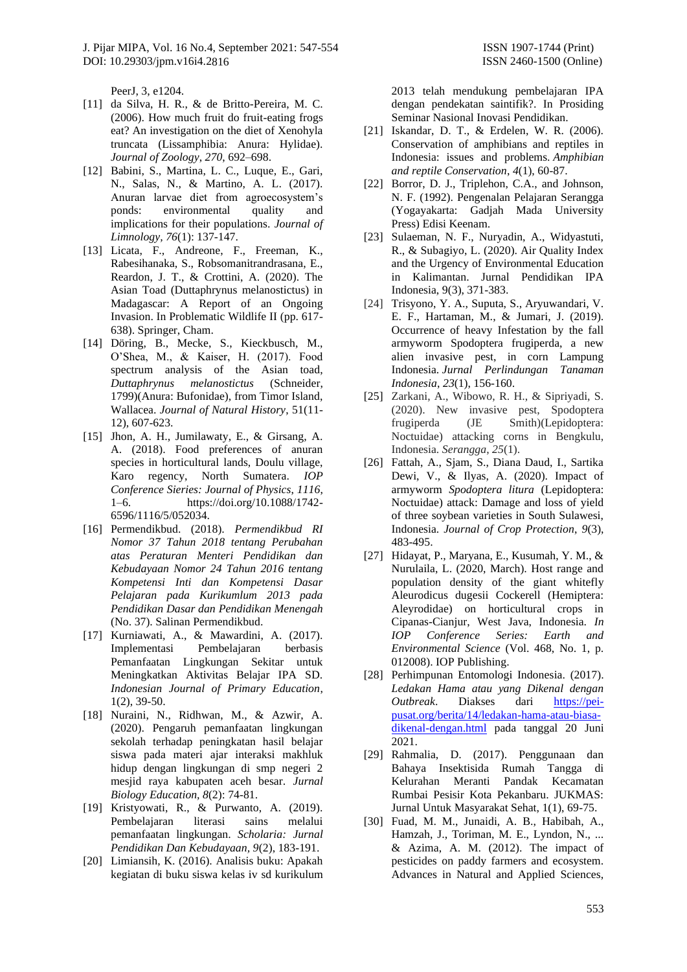J. Pijar MIPA, Vol. 16 No.4, September 2021: 547-554 ISSN 1907-1744 (Print) DOI: [10.29303/jpm.v16i4.2816](http://dx.doi.org/10.29303/jpm.v16i4.2816) ISSN 2460-1500 (Online)

PeerJ, 3, e1204.

- [11] da Silva, H. R., & de Britto-Pereira, M. C. (2006). How much fruit do fruit-eating frogs eat? An investigation on the diet of Xenohyla truncata (Lissamphibia: Anura: Hylidae). *Journal of Zoology*, *270*, 692–698.
- [12] Babini, S., Martina, L. C., Luque, E., Gari, N., Salas, N., & Martino, A. L. (2017). Anuran larvae diet from agroecosystem's ponds: environmental quality and implications for their populations. *Journal of Limnology, 76*(1): 137-147.
- [13] Licata, F., Andreone, F., Freeman, K., Rabesihanaka, S., Robsomanitrandrasana, E., Reardon, J. T., & Crottini, A. (2020). The Asian Toad (Duttaphrynus melanostictus) in Madagascar: A Report of an Ongoing Invasion. In Problematic Wildlife II (pp. 617- 638). Springer, Cham.
- [14] Döring, B., Mecke, S., Kieckbusch, M., O'Shea, M., & Kaiser, H. (2017). Food spectrum analysis of the Asian toad, *Duttaphrynus melanostictus* (Schneider, 1799)(Anura: Bufonidae), from Timor Island, Wallacea. *Journal of Natural History*, 51(11- 12), 607-623.
- [15] Jhon, A. H., Jumilawaty, E., & Girsang, A. A. (2018). Food preferences of anuran species in horticultural lands, Doulu village, Karo regency, North Sumatera. *IOP Conference Sieries: Journal of Physics*, *1116*, 1–6. https://doi.org/10.1088/1742- 6596/1116/5/052034.
- [16] Permendikbud. (2018). *Permendikbud RI Nomor 37 Tahun 2018 tentang Perubahan atas Peraturan Menteri Pendidikan dan Kebudayaan Nomor 24 Tahun 2016 tentang Kompetensi Inti dan Kompetensi Dasar Pelajaran pada Kurikumlum 2013 pada Pendidikan Dasar dan Pendidikan Menengah* (No. 37). Salinan Permendikbud.
- [17] Kurniawati, A., & Mawardini, A. (2017). Implementasi Pembelajaran berbasis Pemanfaatan Lingkungan Sekitar untuk Meningkatkan Aktivitas Belajar IPA SD. *Indonesian Journal of Primary Education*, 1(2), 39-50.
- [18] Nuraini, N., Ridhwan, M., & Azwir, A. (2020). Pengaruh pemanfaatan lingkungan sekolah terhadap peningkatan hasil belajar siswa pada materi ajar interaksi makhluk hidup dengan lingkungan di smp negeri 2 mesjid raya kabupaten aceh besar. *Jurnal Biology Education, 8*(2): 74-81.
- [19] Kristyowati, R., & Purwanto, A. (2019). Pembelajaran literasi sains melalui pemanfaatan lingkungan. *Scholaria: Jurnal Pendidikan Dan Kebudayaan, 9*(2), 183-191.
- [20] Limiansih, K. (2016). Analisis buku: Apakah kegiatan di buku siswa kelas iv sd kurikulum

2013 telah mendukung pembelajaran IPA dengan pendekatan saintifik?. In Prosiding Seminar Nasional Inovasi Pendidikan.

- [21] Iskandar, D. T., & Erdelen, W. R. (2006). Conservation of amphibians and reptiles in Indonesia: issues and problems. *Amphibian and reptile Conservation*, *4*(1), 60-87.
- [22] Borror, D. J., Triplehon, C.A., and Johnson, N. F. (1992). Pengenalan Pelajaran Serangga (Yogayakarta: Gadjah Mada University Press) Edisi Keenam.
- [23] Sulaeman, N. F., Nuryadin, A., Widyastuti, R., & Subagiyo, L. (2020). Air Quality Index and the Urgency of Environmental Education in Kalimantan. Jurnal Pendidikan IPA Indonesia, 9(3), 371-383.
- [24] Trisyono, Y. A., Suputa, S., Aryuwandari, V. E. F., Hartaman, M., & Jumari, J. (2019). Occurrence of heavy Infestation by the fall armyworm Spodoptera frugiperda, a new alien invasive pest, in corn Lampung Indonesia. *Jurnal Perlindungan Tanaman Indonesia*, *23*(1), 156-160.
- [25] Zarkani, A., Wibowo, R. H., & Sipriyadi, S. (2020). New invasive pest, Spodoptera<br>frugiperda (JE Smith)(Lepidoptera: frugiperda (JE Smith)(Lepidoptera: Noctuidae) attacking corns in Bengkulu, Indonesia. *Serangga*, *25*(1).
- [26] Fattah, A., Sjam, S., Diana Daud, I., Sartika Dewi, V., & Ilyas, A. (2020). Impact of armyworm *Spodoptera litura* (Lepidoptera: Noctuidae) attack: Damage and loss of yield of three soybean varieties in South Sulawesi, Indonesia. *Journal of Crop Protection*, *9*(3), 483-495.
- [27] Hidayat, P., Maryana, E., Kusumah, Y. M., & Nurulaila, L. (2020, March). Host range and population density of the giant whitefly Aleurodicus dugesii Cockerell (Hemiptera: Aleyrodidae) on horticultural crops in Cipanas-Cianjur, West Java, Indonesia. *In IOP Conference Series: Earth and Environmental Science* (Vol. 468, No. 1, p. 012008). IOP Publishing.
- [28] Perhimpunan Entomologi Indonesia. (2017). *Ledakan Hama atau yang Dikenal dengan Outbreak*. Diakses dari [https://pei](https://pei-pusat.org/berita/14/ledakan-hama-atau-biasa-dikenal-dengan.html)[pusat.org/berita/14/ledakan-hama-atau-biasa](https://pei-pusat.org/berita/14/ledakan-hama-atau-biasa-dikenal-dengan.html)[dikenal-dengan.html](https://pei-pusat.org/berita/14/ledakan-hama-atau-biasa-dikenal-dengan.html) pada tanggal 20 Juni 2021.
- [29] Rahmalia, D. (2017). Penggunaan dan Bahaya Insektisida Rumah Tangga di Kelurahan Meranti Pandak Kecamatan Rumbai Pesisir Kota Pekanbaru. JUKMAS: Jurnal Untuk Masyarakat Sehat, 1(1), 69-75.
- [30] Fuad, M. M., Junaidi, A. B., Habibah, A., Hamzah, J., Toriman, M. E., Lyndon, N., ... & Azima, A. M. (2012). The impact of pesticides on paddy farmers and ecosystem. Advances in Natural and Applied Sciences,